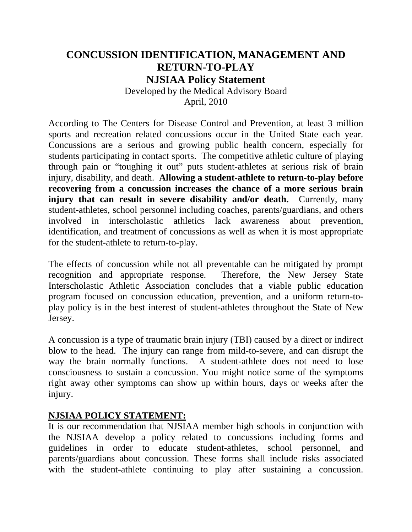# **CONCUSSION IDENTIFICATION, MANAGEMENT AND RETURN-TO-PLAY NJSIAA Policy Statement**

Developed by the Medical Advisory Board April, 2010

According to The Centers for Disease Control and Prevention, at least 3 million sports and recreation related concussions occur in the United State each year. Concussions are a serious and growing public health concern, especially for students participating in contact sports. The competitive athletic culture of playing through pain or "toughing it out" puts student-athletes at serious risk of brain injury, disability, and death. **Allowing a student-athlete to return-to-play before recovering from a concussion increases the chance of a more serious brain injury that can result in severe disability and/or death.** Currently, many student-athletes, school personnel including coaches, parents/guardians, and others involved in interscholastic athletics lack awareness about prevention, identification, and treatment of concussions as well as when it is most appropriate for the student-athlete to return-to-play.

The effects of concussion while not all preventable can be mitigated by prompt recognition and appropriate response. Therefore, the New Jersey State Interscholastic Athletic Association concludes that a viable public education program focused on concussion education, prevention, and a uniform return-toplay policy is in the best interest of student-athletes throughout the State of New Jersey.

A concussion is a type of traumatic brain injury (TBI) caused by a direct or indirect blow to the head. The injury can range from mild-to-severe, and can disrupt the way the brain normally functions. A student-athlete does not need to lose consciousness to sustain a concussion. You might notice some of the symptoms right away other symptoms can show up within hours, days or weeks after the injury.

#### **NJSIAA POLICY STATEMENT:**

It is our recommendation that NJSIAA member high schools in conjunction with the NJSIAA develop a policy related to concussions including forms and guidelines in order to educate student-athletes, school personnel, and parents/guardians about concussion. These forms shall include risks associated with the student-athlete continuing to play after sustaining a concussion.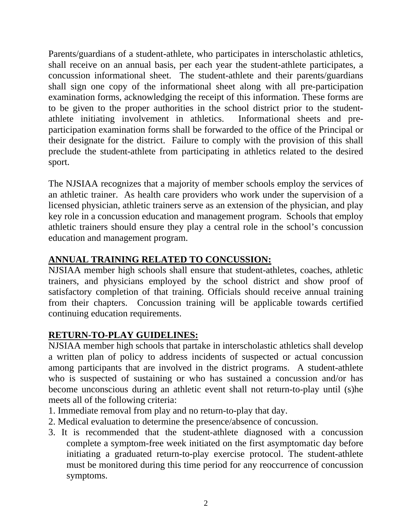Parents/guardians of a student-athlete, who participates in interscholastic athletics, shall receive on an annual basis, per each year the student-athlete participates, a concussion informational sheet. The student-athlete and their parents/guardians shall sign one copy of the informational sheet along with all pre-participation examination forms, acknowledging the receipt of this information. These forms are to be given to the proper authorities in the school district prior to the studentathlete initiating involvement in athletics. Informational sheets and preparticipation examination forms shall be forwarded to the office of the Principal or their designate for the district. Failure to comply with the provision of this shall preclude the student-athlete from participating in athletics related to the desired sport.

The NJSIAA recognizes that a majority of member schools employ the services of an athletic trainer. As health care providers who work under the supervision of a licensed physician, athletic trainers serve as an extension of the physician, and play key role in a concussion education and management program. Schools that employ athletic trainers should ensure they play a central role in the school's concussion education and management program.

## **ANNUAL TRAINING RELATED TO CONCUSSION:**

NJSIAA member high schools shall ensure that student-athletes, coaches, athletic trainers, and physicians employed by the school district and show proof of satisfactory completion of that training. Officials should receive annual training from their chapters. Concussion training will be applicable towards certified continuing education requirements.

### **RETURN-TO-PLAY GUIDELINES:**

NJSIAA member high schools that partake in interscholastic athletics shall develop a written plan of policy to address incidents of suspected or actual concussion among participants that are involved in the district programs. A student-athlete who is suspected of sustaining or who has sustained a concussion and/or has become unconscious during an athletic event shall not return-to-play until (s)he meets all of the following criteria:

- 1. Immediate removal from play and no return-to-play that day.
- 2. Medical evaluation to determine the presence/absence of concussion.
- 3. It is recommended that the student-athlete diagnosed with a concussion complete a symptom-free week initiated on the first asymptomatic day before initiating a graduated return-to-play exercise protocol. The student-athlete must be monitored during this time period for any reoccurrence of concussion symptoms.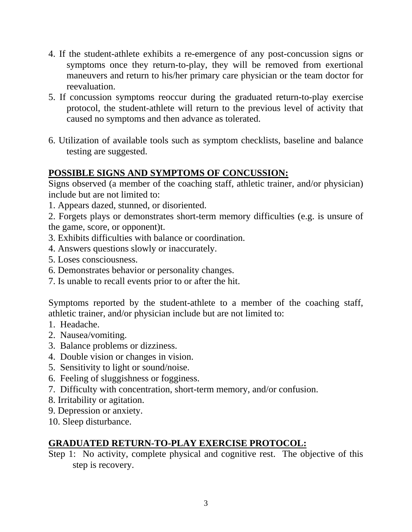- 4. If the student-athlete exhibits a re-emergence of any post-concussion signs or symptoms once they return-to-play, they will be removed from exertional maneuvers and return to his/her primary care physician or the team doctor for reevaluation.
- 5. If concussion symptoms reoccur during the graduated return-to-play exercise protocol, the student-athlete will return to the previous level of activity that caused no symptoms and then advance as tolerated.
- 6. Utilization of available tools such as symptom checklists, baseline and balance testing are suggested.

### **POSSIBLE SIGNS AND SYMPTOMS OF CONCUSSION:**

Signs observed (a member of the coaching staff, athletic trainer, and/or physician) include but are not limited to:

1. Appears dazed, stunned, or disoriented.

2. Forgets plays or demonstrates short-term memory difficulties (e.g. is unsure of the game, score, or opponent)t.

- 3. Exhibits difficulties with balance or coordination.
- 4. Answers questions slowly or inaccurately.
- 5. Loses consciousness.
- 6. Demonstrates behavior or personality changes.
- 7. Is unable to recall events prior to or after the hit.

Symptoms reported by the student-athlete to a member of the coaching staff, athletic trainer, and/or physician include but are not limited to:

- 1. Headache.
- 2. Nausea/vomiting.
- 3. Balance problems or dizziness.
- 4. Double vision or changes in vision.
- 5. Sensitivity to light or sound/noise.
- 6. Feeling of sluggishness or fogginess.
- 7. Difficulty with concentration, short-term memory, and/or confusion.
- 8. Irritability or agitation.
- 9. Depression or anxiety.
- 10. Sleep disturbance.

#### **GRADUATED RETURN-TO-PLAY EXERCISE PROTOCOL:**

Step 1: No activity, complete physical and cognitive rest. The objective of this step is recovery.